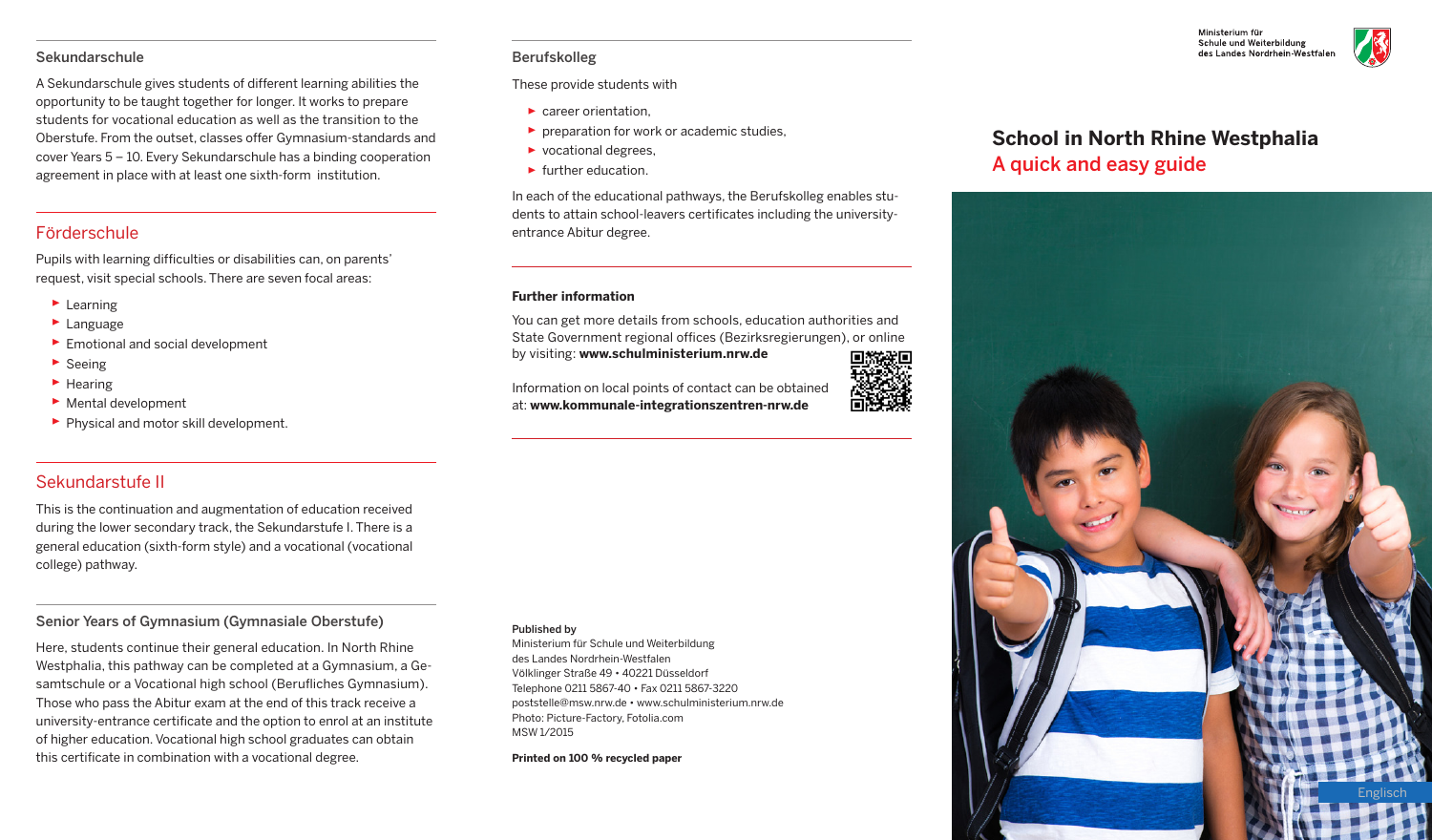#### Sekundarschule

A Sekundarschule gives students of different learning abilities the opportunity to be taught together for longer. It works to prepare students for vocational education as well as the transition to the Oberstufe. From the outset, classes offer Gymnasium-standards and cover Years 5 – 10. Every Sekundarschule has a binding cooperation agreement in place with at least one sixth-form institution.

# Förderschule

Pupils with learning difficulties or disabilities can, on parents' request, visit special schools. There are seven focal areas:

- ▸ Learning
- ▸ Language
- ▶ Emotional and social development
- ▸ Seeing
- ▸ Hearing
- ▸ Mental development
- ▶ Physical and motor skill development.

### Berufskolleg

These provide students with

- ▶ career orientation.
- $\triangleright$  preparation for work or academic studies.
- ▸ vocational degrees,
- ► further education.

In each of the educational pathways, the Berufskolleg enables students to attain school-leavers certificates including the universityentrance Abitur degree.

#### **Further information**

You can get more details from schools, education authorities and State Government regional offices (Bezirksregierungen), or online by visiting: **www.schulministerium.nrw.de**

Information on local points of contact can be obtained at: **www.kommunale-integrationszentren-nrw.de**

## Sekundarstufe II

This is the continuation and augmentation of education received during the lower secondary track, the Sekundarstufe I. There is a general education (sixth-form style) and a vocational (vocational college) pathway.

### Senior Years of Gymnasium (Gymnasiale Oberstufe)

Here, students continue their general education. In North Rhine Westphalia, this pathway can be completed at a Gymnasium, a Gesamtschule or a Vocational high school (Berufliches Gymnasium). Those who pass the Abitur exam at the end of this track receive a university-entrance certificate and the option to enrol at an institute of higher education. Vocational high school graduates can obtain this certificate in combination with a vocational degree.

#### Published by

Ministerium für Schule und Weiterbildung des Landes Nordrhein-Westfalen Völklinger Straße 49 • 40221 Düsseldorf Telephone 0211 5867-40 • Fax 0211 5867-3220 poststelle@msw.nrw.de • www.schulministerium.nrw.de Photo: Picture-Factory, Fotolia.com MSW 1/2015

**Printed on 100 % recycled paper**